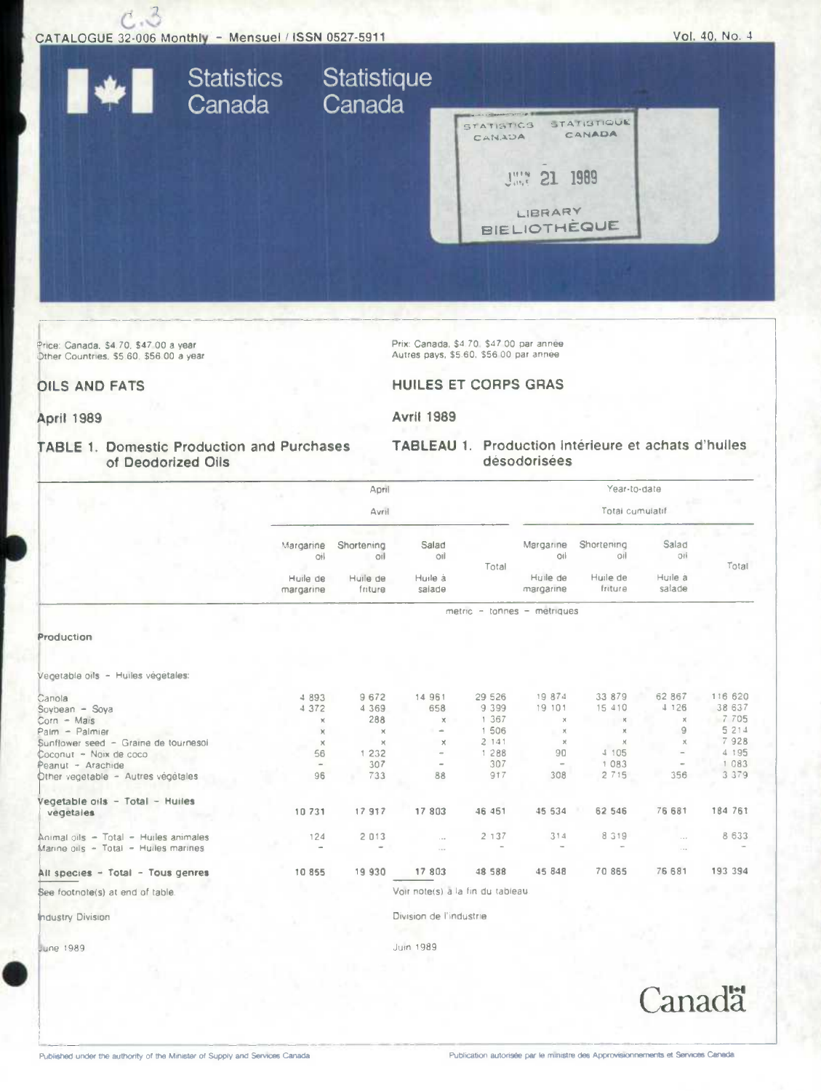

Price: Canada, \$4.70, \$47.00 a year Other Countries, \$5.60, \$56.00 a year Prix: Canada, \$4.70, \$47.00 par année<br>Autres pays, \$5.60, \$56.00 par année

## **HUILES ET CORPS GRAS**

TABLEAU 1. Production intérieure et achats d'huiles

désodorisées

**April 1989** 

**OILS AND FATS** 

**Avril 1989** 

## **TABLE 1. Domestic Production and Purchases** of Deodorized Oils

|                                       |                       | April               |                                  |         |                             | Year-to-date        |                      |         |  |
|---------------------------------------|-----------------------|---------------------|----------------------------------|---------|-----------------------------|---------------------|----------------------|---------|--|
|                                       |                       | Avril               |                                  |         |                             | Total cumulatif     |                      |         |  |
|                                       | Margarine<br>O1       | Shortening<br>O(1)  | Salad<br>oil                     | Total   | Margarine<br>oil            | Shortening<br>oil   | Salad<br>OH          | Total   |  |
|                                       | Huile de<br>margarine | Huile de<br>friture | Huile à<br>saiade                |         | Huile de<br>margarine       | Huile de<br>friture | Huile à<br>salade    |         |  |
|                                       |                       |                     |                                  |         | metric - tonnes - metriques |                     |                      |         |  |
| Production                            |                       |                     |                                  |         |                             |                     |                      |         |  |
|                                       |                       |                     |                                  |         |                             |                     |                      |         |  |
| /egetable oils - Huiles végétales:    |                       |                     |                                  |         |                             |                     |                      |         |  |
| <b>Sions</b>                          | 4 8 9 3               | 9672                | 14 961                           | 29 526  | 19874                       | 33 879              | 62 867               | 116 620 |  |
| Soybean - Soya                        | 4372                  | 4 3 6 9             | 658                              | 9 3 9 9 | 19 101                      | 15 410              | 4 126                | 38 637  |  |
| $\text{Corn} - \text{Mais}$           | x                     | 288                 | $\times$                         | 1 367   | $\times$                    | $\mathcal{H}$       | $\boldsymbol{\chi}$  | 7 7 0 5 |  |
| Palm - Palmier                        | ×                     | $\times$            | $\sim$                           | 1 506   | $\times$                    |                     | 9                    | 5 214   |  |
| Sunflower seed - Graine de tournesoi  | $\times$              | $\times$            | $\times$                         | 2141    | $\boldsymbol{\times}$       | $\times$            | $\times$             | 7928    |  |
| Coconut - Noix de coco                | 56                    | 1 232               | $\equiv$                         | 1 2 8 8 | 90                          | 4 105               |                      | 4 195   |  |
| Peanut - Arachide                     | $\frac{1}{2}$         | 307                 | $\sim$                           | 307     | $\,$                        | 1083                |                      | 1 083   |  |
| Other vegetable - Autres vegetales    | 96                    | 733                 | 88                               | 917     | 308                         | 2715                | 356                  | 3 379   |  |
| /egetable oils - Total - Huiles       |                       |                     |                                  |         |                             |                     |                      |         |  |
| vegetales                             | 10731                 | 17 917              | 17 803                           | 46 451  | 45 534                      | 62 546              | 76 681               | 184 761 |  |
| Animal oils - Total - Huiles animales | 124                   | 2 013               | $\cdots$                         | 2 1 3 7 | 314                         | 8 3 1 9             | $\sim$ $\sim$ $\sim$ | 8 6 3 3 |  |
| Marine oils - Total - Huiles marines  |                       |                     | $\cdots$                         |         |                             |                     | $\sim$ $\sim$ $\sim$ |         |  |
| All species - Total - Tous genres     | 10 855                | 19 930              | 17 803                           | 48 588  | 45 848                      | 70 865              | 76 681               | 193 394 |  |
| See footnote(s) at end of table.      |                       |                     | Voir note(s) a la fin du tableau |         |                             |                     |                      |         |  |
| ndustry Division                      |                       |                     | Division de l'industrie          |         |                             |                     |                      |         |  |
|                                       |                       |                     |                                  |         |                             |                     |                      |         |  |

June 1989

Juin 1989

Canadä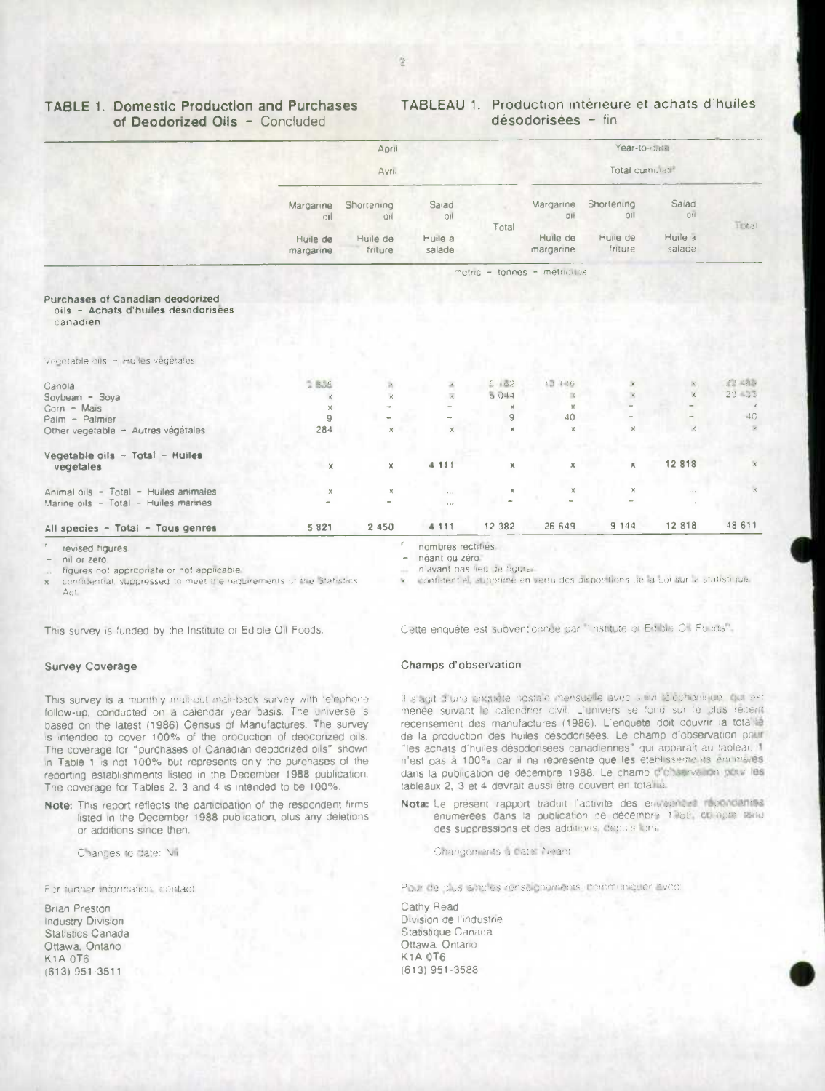## **TABLE 1. Domestic Production and Purchases** of Deodorized Oils - Concluded

## TABLEAU 1. Production interieure et achats d'huiles désodorisées - fin

|                                                                                     |                                              | April                 |                         |                 |                             | Year-to-catal                  |                         |               |
|-------------------------------------------------------------------------------------|----------------------------------------------|-----------------------|-------------------------|-----------------|-----------------------------|--------------------------------|-------------------------|---------------|
|                                                                                     | Avril                                        |                       |                         | Total cumulatif |                             |                                |                         |               |
|                                                                                     | Margarine<br>O(1)                            | Shortening<br>OH      | Salad<br>oil<br>Huile a | Total           | Margarine<br>QI<br>Huile de | Shortening<br> 01 <br>Huile de | Saiad<br>O11<br>Huile 3 | Trongi        |
|                                                                                     | Huile de<br>Huile de<br>friture<br>margarine |                       | salade                  |                 | margarine                   | friture                        | salade                  |               |
|                                                                                     |                                              |                       |                         |                 | metric - tonnes - metriques |                                |                         |               |
| Purchases of Canadian deodorized<br>oils - Achats d'huiles désodorisées<br>canadien |                                              |                       |                         |                 |                             |                                |                         |               |
| Vegetable oils - Huiles vegetales:                                                  |                                              |                       |                         |                 |                             |                                |                         |               |
| Canola                                                                              | 2.836                                        | ×                     |                         | 5.162           | 13.146                      |                                |                         | 22.484        |
| Soybean - Soya                                                                      | К                                            |                       |                         | 6.044           | $\mathbb{R}$                |                                |                         | 20 433        |
| $Corn - Mais$                                                                       | ×                                            |                       |                         | $\times$        | $\times$                    |                                |                         |               |
| Palm - Palmier                                                                      | 9                                            |                       |                         | 9               | 40                          |                                |                         | 4G            |
| Other vegetable - Autres végétales                                                  | 284                                          | $\times$              | x                       | $\times$        | $\times$                    | $\times$                       |                         | $\mathbf{x}$  |
| Vegetable oils - Total - Huiles<br>vegétales                                        | $\times$                                     | x                     | 4 1 1 1                 | x               | X.                          | к                              | 12 818                  | $\mathcal{R}$ |
| Animal oils - Total - Huiles animales                                               | x                                            | $\boldsymbol{\times}$ | $\epsilon$              | ×               |                             | x                              | 1.1.0                   |               |
| Marine oils - Total - Huiles marines                                                |                                              |                       | $\sim$ $\sim$           |                 |                             |                                | $\sim$ s $\pm$          |               |
| All species - Total - Tous genres                                                   | 5 8 2 1                                      | 2 4 5 0               | 4 1 1 1                 | 12 382          | 26 649                      | 9144                           | 12 818                  | 48 611        |

evised figures

nil or zero

figures not appropriate or not applicable.

confidential, suppressed to meet the requirements of the Statistics  $\Delta c t$ 

This survey is funded by the Institute of Edible Oil Foods.

## **Survey Coverage**

This survey is a monthly mail-out mail-back survey with telephone. follow-up, conducted on a calendar year basis. The universe is based on the latest (1986) Census of Manufactures. The survey is intended to cover 100% of the production of deodorized oils. The coverage for "purchases of Canadian deodorized bils" shown in Table 1 is not 100% but represents only the purchases of the reporting establishments listed in the December 1988 publication. The coverage for Tables 2. 3 and 4 is intended to be 100%.

Note: This report reflects the participation of the respondent firms listed in the December 1988 publication, plus any deletions or additions since then.

Changes to date: Nii

For jurther information, contact:

**Brian Preston** Industry Division Statistics Canada Ottawa, Ontario **K1A 0T6**  $(613)$  951-3511

néant ou zéro. n'avant pas lieu de hourer.

confidentiel, supprime en vertu des dispositions de la Loi sur la statistique.

Cette enquête est subventionnée par l'institute et Edible Oil Foods".

### Champs d'observation

B s'agit d'une enquete postale mensuelle avec suivi reléchonique, qui est menée suivant le calendrier divit. L'univers se fond sur le plus recent recensement des manufactures (1986). L'enquête doit couvrir la totalité de la production des huiles désodorisées. Le champ d'observation pour "les achats d'huiles désodorisées canadiennes" qui apparaît au tableau 1 n'est pas à 100% car il ne représente que les établissements enumeres dans la publication de décembre 1988. Le champ d'observation pour les tableaux 2. 3 et 4 devrait aussi être couvert en totalité.

- Nota: Le présent rapport traduit l'activité des entretimes répondantes enumerées dans la publication de décembre 1988, compte lenu des suppressions et des additions, depuis lors
	- Changements a date: Néant

Pour de plus ambies renseignements, communiquer avec:

Cathy Read Division de l'industrie Statistique Canada Ottawa, Ontario **K1A 0T6**  $(613)$  951-3588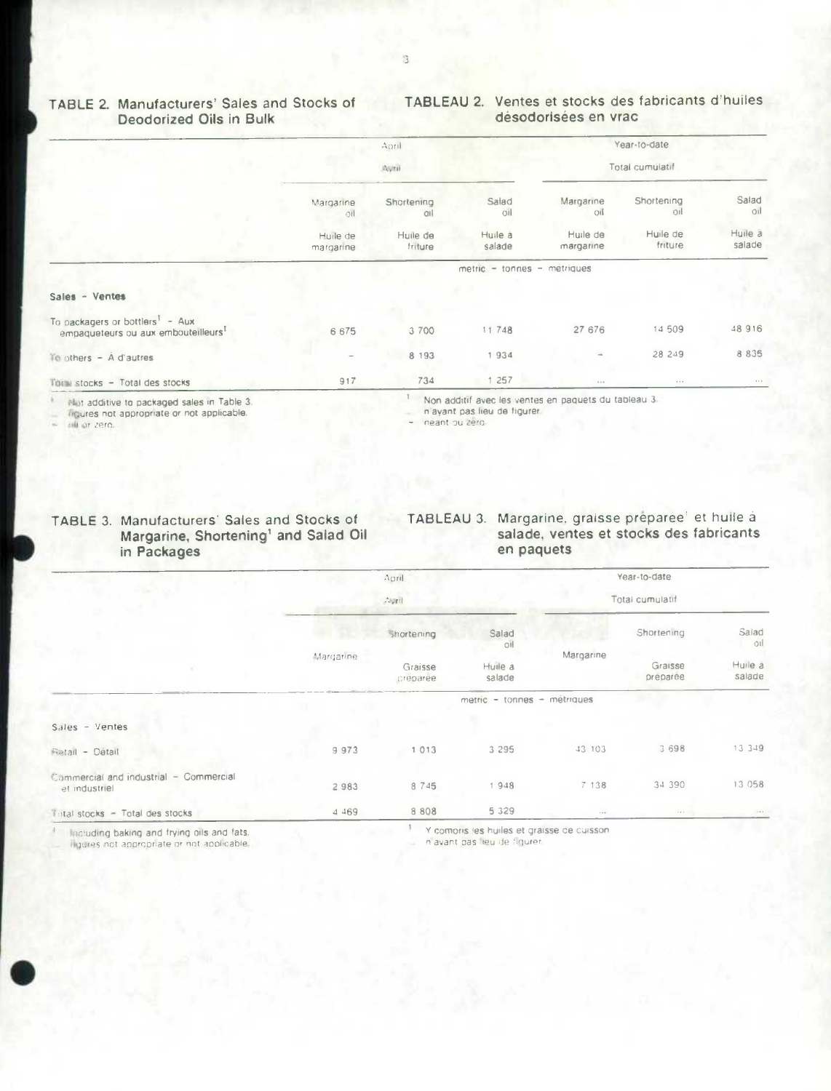#### TABLEAU 2. Ventes et stocks des fabricants d'huiles TABLE 2. Manufacturers' Sales and Stocks of **Deodorized Oils in Bulk** désodorisées en vrac

|                                                                                                |                              | $A$ oril                 |                   |                       | Year-to-date        |                         |  |  |
|------------------------------------------------------------------------------------------------|------------------------------|--------------------------|-------------------|-----------------------|---------------------|-------------------------|--|--|
|                                                                                                |                              | Avril                    |                   |                       | Total cumulatif     |                         |  |  |
|                                                                                                | Margarine<br>O <sub>II</sub> | Shortening<br><b>Oil</b> | Salad<br>OI       | Margarine<br>oil      | Shortening<br>Q1    | Salad<br>O <sub>1</sub> |  |  |
|                                                                                                | Huile de<br>margarine        | Huile de<br>friture      | Huile à<br>salade | Huile de<br>margarine | Huile de<br>friture | Huile a<br>salade       |  |  |
|                                                                                                | metric - tonnes - metriques  |                          |                   |                       |                     |                         |  |  |
| Sales - Ventes                                                                                 |                              |                          |                   |                       |                     |                         |  |  |
| To packagers or bottlers <sup>1</sup> - Aux<br>empaqueteurs ou aux embouteilleurs <sup>1</sup> | 6675                         | 3 700                    | 11748             | 27 676                | 14 509              | 48 916                  |  |  |
| Te others $ \dot{A}$ d'autres                                                                  | $\overline{\phantom{0}}$     | 8 1 9 3                  | 1934              |                       | 28 249              | 8 8 3 5                 |  |  |
| This stocks - Total des stocks                                                                 | 917                          | 734                      | 1 257             | 6.6.6                 | $\cdots$            | $\alpha + \alpha$       |  |  |

Not additive to packaged sales in Table 3.

liqures not appropriate or not applicable.

sal or zero.

Non additif avec les ventes en paquets du tableau 3.

n'ayant pas lieu de figurer.

néant ou zero

#### TABLE 3. Manufacturers' Sales and Stocks of<br>Margarine, Shortening' and Salad Oil TABLEAU 3. Margarine, graisse préparée<sup>1</sup> et huile à salade, ventes et stocks des fabricants en paquets in Packages

|                                                                                 |           | April                             |                                                     |                 | Year-to-date                      |                                   |  |
|---------------------------------------------------------------------------------|-----------|-----------------------------------|-----------------------------------------------------|-----------------|-----------------------------------|-----------------------------------|--|
|                                                                                 | Aunt      |                                   |                                                     | Total cumulatif |                                   |                                   |  |
|                                                                                 | Margarine | Shortening<br>Graisse<br>creparee | Salad<br>O1<br>Huile à<br>salade                    | Margarine       | Shortening<br>Graisse<br>preparee | Salad<br>oıl<br>Huile à<br>salade |  |
|                                                                                 |           |                                   | metric - tonnes - métriques                         |                 |                                   |                                   |  |
| Sales - Ventes                                                                  |           |                                   |                                                     |                 |                                   |                                   |  |
| Retail - Détail                                                                 | 9973      | 1013                              | 3 2 9 5                                             | 43 103          | 3 6 9 8                           | 13 3 4 9                          |  |
| Commercial and industrial - Commercial<br>et industriel                         | 2983      | 8 7 4 5                           | 1948                                                | 7 138           | 34 390                            | 13 058                            |  |
| Total stocks - Total des stocks                                                 | 4 4 6 9   | 8 8 0 8                           | 5 3 2 9                                             | $x + 6$         | $\cdots$                          | $\epsilon \ll \epsilon$           |  |
| the contract of the contract of the contract of the contract of the contract of |           |                                   | Af a company in the books of a monoton six numbers. |                 |                                   |                                   |  |

Including baking and frying oils and fats. liqures not appropriate or not applicable. Y comons les huiles et graisse de cuisson

n'avant pas lieu de figurer